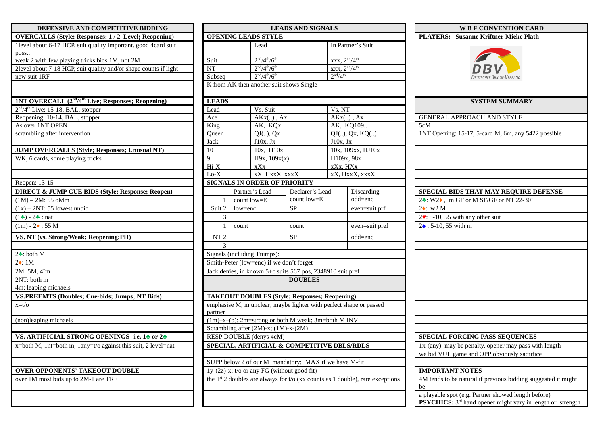| DEFENSIVE AND COMPETITIVE BIDDING                                          |                                                            | <b>LEADS AND SIGNALS</b>                                                                             |                                                                           |                 |                                                         |                                           |  |
|----------------------------------------------------------------------------|------------------------------------------------------------|------------------------------------------------------------------------------------------------------|---------------------------------------------------------------------------|-----------------|---------------------------------------------------------|-------------------------------------------|--|
| <b>OVERCALLS (Style: Responses: 1/2 Level; Reopening)</b>                  |                                                            |                                                                                                      | <b>OPENING LEADS STYLE</b>                                                |                 |                                                         |                                           |  |
| 1level about 6-17 HCP, suit quality important, good 4card suit<br>poss.;   |                                                            |                                                                                                      | Lead                                                                      |                 |                                                         | In Partner's Suit                         |  |
| weak 2 with few playing tricks bids 1M, not 2M.                            | Suit                                                       |                                                                                                      |                                                                           | $2nd/4th/6th$   |                                                         | $\text{xxx}, 2^{\text{nd}}/4^{\text{th}}$ |  |
| 2level about 7-18 HCP, suit quality and/or shape counts if light           | NT                                                         |                                                                                                      | $2nd/4th/6th$                                                             |                 | $\overline{\text{xxx}}$ , $2^{\text{nd}}/4^{\text{th}}$ |                                           |  |
| new suit 1RF                                                               | Subseq                                                     |                                                                                                      | 2 <sup>nd</sup> /4 <sup>th</sup><br>$2nd/4th/6th$                         |                 |                                                         |                                           |  |
|                                                                            |                                                            |                                                                                                      | K from AK then another suit shows Single                                  |                 |                                                         |                                           |  |
| 1NT OVERCALL (2 <sup>nd</sup> /4 <sup>th</sup> Live; Responses; Reopening) | <b>LEADS</b>                                               |                                                                                                      |                                                                           |                 |                                                         |                                           |  |
| 2 <sup>nd</sup> /4 <sup>th</sup> Live: 15-18, BAL, stopper                 | Lead                                                       |                                                                                                      | Vs. Suit                                                                  |                 | Vs. NT                                                  |                                           |  |
| Reopening: 10-14, BAL, stopper                                             | Ace                                                        |                                                                                                      | $AKx()$ , Ax                                                              |                 | $AKx()$ , $Ax$                                          |                                           |  |
| As over 1NT OPEN                                                           | King                                                       |                                                                                                      | AK, KQx                                                                   |                 |                                                         | AK, KQ109                                 |  |
| scrambling after intervention                                              | Queen                                                      |                                                                                                      |                                                                           | QJ(.), Qx       |                                                         | $QJ()$ , $Qx$ , $KQ()$                    |  |
|                                                                            | Jack                                                       |                                                                                                      |                                                                           | J10x, Jx        |                                                         | J10x, Jx                                  |  |
| <b>JUMP OVERCALLS (Style; Responses; Unusual NT)</b>                       | 10                                                         |                                                                                                      | 10x, H10x                                                                 |                 |                                                         | 10x, 109xx, HJ10x                         |  |
| WK, 6 cards, some playing tricks                                           | 9                                                          |                                                                                                      |                                                                           | H9x, 109x(x)    |                                                         | H109x, 98x                                |  |
|                                                                            | $Hi-X$                                                     |                                                                                                      | xXx                                                                       |                 |                                                         | xXx, HXx                                  |  |
|                                                                            | $Lo-X$                                                     |                                                                                                      |                                                                           | xX, HxxX, xxxX  |                                                         | xX, HxxX, xxxX                            |  |
| Reopen: 13-15                                                              |                                                            |                                                                                                      | <b>SIGNALS IN ORDER OF PRIORITY</b>                                       |                 |                                                         |                                           |  |
| <b>DIRECT &amp; JUMP CUE BIDS (Style; Response; Reopen)</b>                |                                                            |                                                                                                      | Partner's Lead                                                            | Declarer's Lead |                                                         | Discarding                                |  |
| $(1M) - 2M$ : 55 oMm                                                       | $\mathbf{1}$                                               |                                                                                                      | count low=E                                                               | count low=E     |                                                         | odd=enc                                   |  |
| $(1x) - 2NT$ : 55 lowest unbid                                             | Suit 2                                                     |                                                                                                      | low=enc                                                                   | SP              |                                                         | even=suit pri                             |  |
| $(1\bullet) - 2\bullet$ : nat                                              | 3                                                          |                                                                                                      |                                                                           |                 |                                                         |                                           |  |
| $(1m) - 24 : 55 M$                                                         | $\mathbf{1}$                                               |                                                                                                      | count                                                                     | count           |                                                         | even=suit pro                             |  |
| VS. NT (vs. Strong/Weak; Reopening;PH)                                     | NT <sub>2</sub>                                            |                                                                                                      |                                                                           | <b>SP</b>       |                                                         | odd=enc                                   |  |
|                                                                            | 3                                                          |                                                                                                      |                                                                           |                 |                                                         |                                           |  |
| $2 \cdot$ : both M                                                         |                                                            |                                                                                                      | Signals (including Trumps):                                               |                 |                                                         |                                           |  |
| $2\bullet$ : 1M                                                            |                                                            |                                                                                                      | Smith-Peter (low=enc) if we don't forget                                  |                 |                                                         |                                           |  |
| 2M: 5M, 4 <sup>+</sup> m                                                   | Jack denies, in known 5+c suits 567 pos, 2348910 suit pref |                                                                                                      |                                                                           |                 |                                                         |                                           |  |
| 2NT: both m                                                                | <b>DOUBLES</b>                                             |                                                                                                      |                                                                           |                 |                                                         |                                           |  |
| 4m: leaping michaels                                                       |                                                            |                                                                                                      |                                                                           |                 |                                                         |                                           |  |
| <b>VS.PREEMTS (Doubles; Cue-bids; Jumps; NT Bids)</b>                      |                                                            |                                                                                                      | <b>TAKEOUT DOUBLES (Style; Responses; Reopening)</b>                      |                 |                                                         |                                           |  |
| $x=t/O$                                                                    | partner                                                    | emphasise M, m unclear; maybe lighter with perfect shape or passed                                   |                                                                           |                 |                                                         |                                           |  |
| (non)leaping michaels                                                      | $(1m)$ -x- $(p)$ : 2m=strong or both M weak; 3m=both M INV |                                                                                                      |                                                                           |                 |                                                         |                                           |  |
|                                                                            | Scrambling after (2M)-x; (1M)-x-(2M)                       |                                                                                                      |                                                                           |                 |                                                         |                                           |  |
| VS. ARTIFICIAL STRONG OPENINGS- i.e. 14 or 24                              | RESP DOUBLE (denys 4cM)                                    |                                                                                                      |                                                                           |                 |                                                         |                                           |  |
| x=both M, 1nt=both m, 1any=t/o against this suit, 2 level=nat              |                                                            |                                                                                                      | SPECIAL, ARTIFICIAL & COMPETITIVE DBLS/RDLS                               |                 |                                                         |                                           |  |
|                                                                            |                                                            |                                                                                                      |                                                                           |                 |                                                         |                                           |  |
| OVER OPPONENTS' TAKEOUT DOUBLE                                             |                                                            | SUPP below 2 of our M mandatory; MAX if we have M-fit<br>1y-(2z)-x: t/o or any FG (without good fit) |                                                                           |                 |                                                         |                                           |  |
| over 1M most bids up to 2M-1 are TRF                                       |                                                            |                                                                                                      | the $1st$ 2 doubles are always for t/o (xx counts as 1 double), rare exce |                 |                                                         |                                           |  |
|                                                                            |                                                            |                                                                                                      |                                                                           |                 |                                                         |                                           |  |
|                                                                            |                                                            |                                                                                                      |                                                                           |                 |                                                         |                                           |  |
|                                                                            |                                                            |                                                                                                      |                                                                           |                 |                                                         |                                           |  |

| DEFENSIVE AND COMPETITIVE BIDDING                                          | <b>LEADS AND SIGNALS</b>                                        |                                                                                                         |                                          |                                                      | <b>W B F CONVENTION CARD</b>                                                       |                                                                              |
|----------------------------------------------------------------------------|-----------------------------------------------------------------|---------------------------------------------------------------------------------------------------------|------------------------------------------|------------------------------------------------------|------------------------------------------------------------------------------------|------------------------------------------------------------------------------|
| <b>OVERCALLS (Style: Responses: 1/2 Level; Reopening)</b>                  |                                                                 | <b>OPENING LEADS STYLE</b>                                                                              |                                          |                                                      | <b>PLAYERS:</b> Susanne Kriftner-Mieke Plath                                       |                                                                              |
| 1 level about 6-17 HCP, suit quality important, good 4 card suit<br>poss.; |                                                                 |                                                                                                         | Lead                                     |                                                      | In Partner's Suit                                                                  |                                                                              |
| weak 2 with few playing tricks bids 1M, not 2M.                            | Suit                                                            |                                                                                                         | $2nd/4th/6th$                            |                                                      | $\text{xxx}, 2^{\text{nd}}/4^{\text{th}}$                                          |                                                                              |
| 2level about 7-18 HCP, suit quality and/or shape counts if light           | <b>NT</b>                                                       |                                                                                                         | $2nd/4th/6th$                            |                                                      | $\text{xxx}, 2^{\text{nd}}/4^{\text{th}}$                                          |                                                                              |
| new suit 1RF                                                               | Subseq                                                          |                                                                                                         | $2nd/4th/6th$                            | 2 <sup>nd</sup> /4 <sup>th</sup>                     |                                                                                    | <b>DEUTSCHER BRIDGE-VERBAND</b>                                              |
|                                                                            |                                                                 |                                                                                                         | K from AK then another suit shows Single |                                                      |                                                                                    |                                                                              |
| 1NT OVERCALL (2 <sup>nd</sup> /4 <sup>th</sup> Live; Responses; Reopening) | <b>LEADS</b>                                                    |                                                                                                         |                                          |                                                      |                                                                                    | <b>SYSTEM SUMMARY</b>                                                        |
| 2 <sup>nd</sup> /4 <sup>th</sup> Live: 15-18, BAL, stopper                 | Lead                                                            |                                                                                                         | Vs. Suit                                 |                                                      | Vs. NT                                                                             |                                                                              |
| Reopening: 10-14, BAL, stopper                                             | Ace                                                             |                                                                                                         | $AKx$ ), $Ax$                            |                                                      | $AKx()$ , Ax                                                                       | GENERAL APPROACH AND STYLE                                                   |
| As over 1NT OPEN                                                           | King                                                            |                                                                                                         | AK, KQx                                  |                                                      | AK, KQ109                                                                          | 5cM                                                                          |
| scrambling after intervention                                              | Queen                                                           |                                                                                                         | QJ(.), Qx                                |                                                      | $QJ()$ , $Qx$ , $KQ()$                                                             | 1NT Opening: 15-17, 5-card M, 6m, any 5422 possible                          |
|                                                                            | Jack                                                            |                                                                                                         | J10x, Jx                                 |                                                      | J10x, Jx                                                                           |                                                                              |
| <b>JUMP OVERCALLS (Style; Responses; Unusual NT)</b>                       | 10                                                              |                                                                                                         | 10x, H10x                                |                                                      | 10x, 109xx, HJ10x                                                                  |                                                                              |
| WK, 6 cards, some playing tricks                                           | 9                                                               |                                                                                                         | H9x, 109x(x)                             |                                                      | H109x, 98x                                                                         |                                                                              |
|                                                                            | $Hi-X$                                                          |                                                                                                         | xXx                                      |                                                      | xXx, HXx                                                                           |                                                                              |
|                                                                            | $Lo-X$                                                          |                                                                                                         | xX, HxxX, xxxX                           |                                                      | xX, HxxX, xxxX                                                                     |                                                                              |
| Reopen: 13-15                                                              |                                                                 |                                                                                                         | <b>SIGNALS IN ORDER OF PRIORITY</b>      |                                                      |                                                                                    |                                                                              |
| <b>DIRECT &amp; JUMP CUE BIDS (Style; Response; Reopen)</b>                |                                                                 |                                                                                                         | Partner's Lead                           | Declarer's Lead                                      | Discarding                                                                         | SPECIAL BIDS THAT MAY REQUIRE DEFENSE                                        |
| $(1M) - 2M$ : 55 oMm                                                       |                                                                 |                                                                                                         | count low=E                              | count low=E                                          | odd=enc                                                                            | 24: W24, m GF or M SF/GF or NT 22-30+                                        |
| $(1x) - 2NT$ : 55 lowest unbid                                             | Suit 2                                                          | low=enc                                                                                                 | <b>SP</b>                                |                                                      | even=suit prf                                                                      | $2$ : w2 M                                                                   |
| $(1\bullet) - 2\bullet$ : nat                                              | 3                                                               |                                                                                                         |                                          |                                                      |                                                                                    | $2$ . 5-10, 55 with any other suit                                           |
| $(1m) - 24 : 55 M$                                                         |                                                                 | count                                                                                                   |                                          | count                                                | even=suit pref                                                                     | $2\triangle$ : 5-10, 55 with m                                               |
| VS. NT (vs. Strong/Weak; Reopening;PH)                                     | NT <sub>2</sub>                                                 |                                                                                                         |                                          | <b>SP</b>                                            | odd=enc                                                                            |                                                                              |
|                                                                            | 3                                                               |                                                                                                         |                                          |                                                      |                                                                                    |                                                                              |
| $2$ : both M                                                               |                                                                 |                                                                                                         | Signals (including Trumps):              |                                                      |                                                                                    |                                                                              |
| $2\bullet$ : 1M                                                            |                                                                 |                                                                                                         | Smith-Peter (low=enc) if we don't forget |                                                      |                                                                                    |                                                                              |
| 2M: 5M, 4 <sup>+</sup> m                                                   |                                                                 |                                                                                                         |                                          |                                                      | Jack denies, in known 5+c suits 567 pos, 2348910 suit pref                         |                                                                              |
| 2NT: both m                                                                |                                                                 |                                                                                                         |                                          | <b>DOUBLES</b>                                       |                                                                                    |                                                                              |
| 4m: leaping michaels                                                       |                                                                 |                                                                                                         |                                          |                                                      |                                                                                    |                                                                              |
| <b>VS.PREEMTS (Doubles; Cue-bids; Jumps; NT Bids)</b>                      |                                                                 |                                                                                                         |                                          | <b>TAKEOUT DOUBLES (Style; Responses; Reopening)</b> |                                                                                    |                                                                              |
| x=t/o                                                                      | partner                                                         |                                                                                                         |                                          |                                                      | emphasise M, m unclear; maybe lighter with perfect shape or passed                 |                                                                              |
| (non)leaping michaels                                                      |                                                                 |                                                                                                         |                                          | (1m)-x-(p): 2m=strong or both M weak; 3m=both M INV  |                                                                                    |                                                                              |
|                                                                            |                                                                 |                                                                                                         |                                          |                                                      |                                                                                    |                                                                              |
| VS. ARTIFICIAL STRONG OPENINGS- i.e. 14 or 24                              | Scrambling after (2M)-x; (1M)-x-(2M)<br>RESP DOUBLE (denys 4cM) |                                                                                                         |                                          |                                                      |                                                                                    | <b>SPECIAL FORCING PASS SEQUENCES</b>                                        |
| x=both M, 1nt=both m, 1any=t/o against this suit, 2 level=nat              |                                                                 |                                                                                                         |                                          | SPECIAL, ARTIFICIAL & COMPETITIVE DBLS/RDLS          | 1x-(any): may be penalty, opener may pass with length                              |                                                                              |
|                                                                            |                                                                 |                                                                                                         |                                          |                                                      |                                                                                    | we bid VUL game and OPP obviously sacrifice                                  |
|                                                                            |                                                                 |                                                                                                         |                                          |                                                      |                                                                                    |                                                                              |
| <b>OVER OPPONENTS' TAKEOUT DOUBLE</b>                                      |                                                                 | SUPP below 2 of our M mandatory; MAX if we have M-fit<br>$1y-(2z)$ -x: t/o or any FG (without good fit) |                                          |                                                      |                                                                                    | <b>IMPORTANT NOTES</b>                                                       |
| over 1M most bids up to 2M-1 are TRF                                       |                                                                 |                                                                                                         |                                          |                                                      | the $1^{st}$ 2 doubles are always for t/o (xx counts as 1 double), rare exceptions | 4M tends to be natural if previous bidding suggested it might<br>be          |
|                                                                            |                                                                 |                                                                                                         |                                          |                                                      |                                                                                    | a playable spot (e.g. Partner showed length before)                          |
|                                                                            |                                                                 |                                                                                                         |                                          |                                                      |                                                                                    | <b>PSYCHICS:</b> 3 <sup>rd</sup> hand opener might vary in length or strengt |

| <b>W B F CONVENTION CARD</b>                                          |  |  |  |  |  |  |
|-----------------------------------------------------------------------|--|--|--|--|--|--|
| PLAYERS: Susanne Kriftner-Mieke Plath                                 |  |  |  |  |  |  |
| $\overline{\bm{D}}\bm{B}\bm{V}$<br><b>DEUTSCHER BRIDGE-VERBAND</b>    |  |  |  |  |  |  |
| <b>SYSTEM SUMMARY</b>                                                 |  |  |  |  |  |  |
| GENERAL APPROACH AND STYLE                                            |  |  |  |  |  |  |
| 5cM                                                                   |  |  |  |  |  |  |
| 1NT Opening: 15-17, 5-card M, 6m, any 5422 possible                   |  |  |  |  |  |  |
|                                                                       |  |  |  |  |  |  |
|                                                                       |  |  |  |  |  |  |
|                                                                       |  |  |  |  |  |  |
|                                                                       |  |  |  |  |  |  |
|                                                                       |  |  |  |  |  |  |
|                                                                       |  |  |  |  |  |  |
| SPECIAL BIDS THAT MAY REQUIRE DEFENSE                                 |  |  |  |  |  |  |
| 2: W2+, m GF or M SF/GF or NT 22-30 <sup>+</sup><br>$2\bullet$ : w2 M |  |  |  |  |  |  |
| $2\cdot$ : 5-10, 55 with any other suit                               |  |  |  |  |  |  |
| $2\cdot 5 - 10$ , 55 with m                                           |  |  |  |  |  |  |
|                                                                       |  |  |  |  |  |  |
|                                                                       |  |  |  |  |  |  |
|                                                                       |  |  |  |  |  |  |
|                                                                       |  |  |  |  |  |  |
|                                                                       |  |  |  |  |  |  |
|                                                                       |  |  |  |  |  |  |
|                                                                       |  |  |  |  |  |  |
|                                                                       |  |  |  |  |  |  |
|                                                                       |  |  |  |  |  |  |
|                                                                       |  |  |  |  |  |  |
|                                                                       |  |  |  |  |  |  |
|                                                                       |  |  |  |  |  |  |
| <b>SPECIAL FORCING PASS SEQUENCES</b>                                 |  |  |  |  |  |  |
| 1x-(any): may be penalty, opener may pass with length                 |  |  |  |  |  |  |
| we bid VUL game and OPP obviously sacrifice                           |  |  |  |  |  |  |
| <b>IMPORTANT NOTES</b>                                                |  |  |  |  |  |  |
| 4M tends to be natural if previous bidding suggested it might         |  |  |  |  |  |  |
| be                                                                    |  |  |  |  |  |  |
| a playable spot (e.g. Partner showed length before)                   |  |  |  |  |  |  |

**PSYCHICS:** 3<sup>rd</sup> hand opener might vary in length or strength